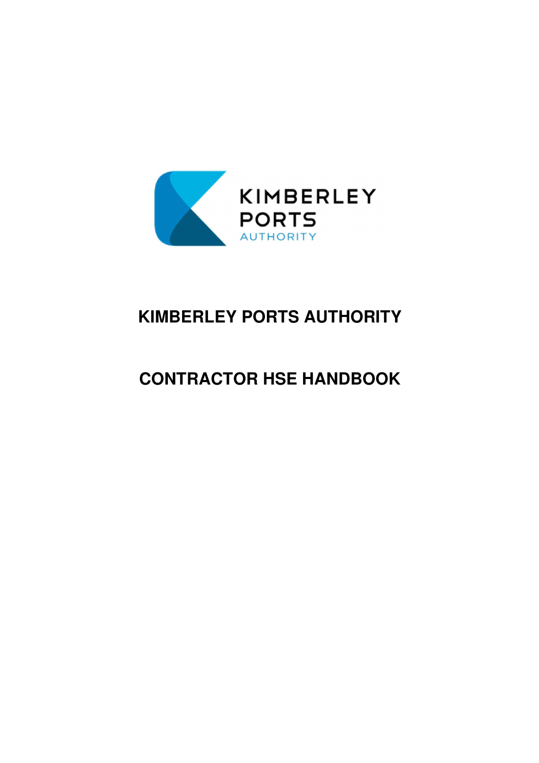

# **KIMBERLEY PORTS AUTHORITY**

# **CONTRACTOR HSE HANDBOOK**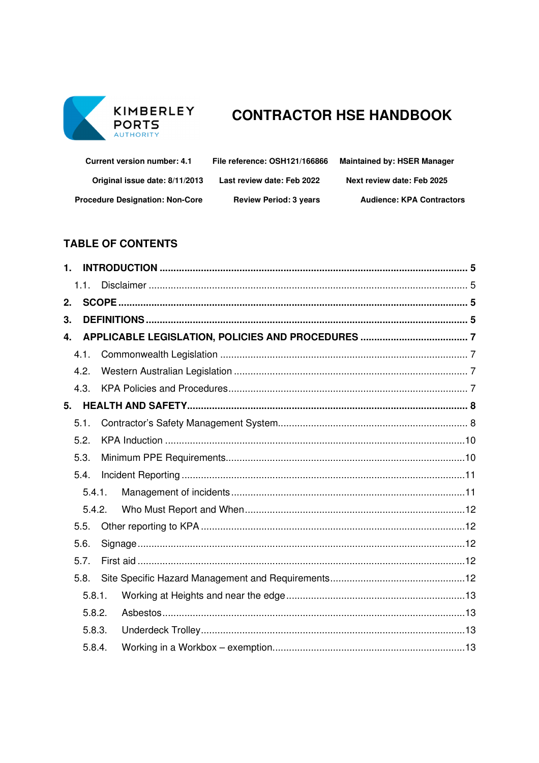

# KIMBERLEY CONTRACTOR HSE HANDBOOK

| <b>Current version number: 4.1</b>     | File reference: OSH121/166866 | <b>Maintained by: HSER Manager</b> |
|----------------------------------------|-------------------------------|------------------------------------|
| Original issue date: 8/11/2013         | Last review date: Feb 2022    | Next review date: Feb 2025         |
| <b>Procedure Designation: Non-Core</b> | <b>Review Period: 3 years</b> | <b>Audience: KPA Contractors</b>   |

# **TABLE OF CONTENTS**

| $\mathbf{1}$ |        |  |  |  |  |
|--------------|--------|--|--|--|--|
|              | 1.1.   |  |  |  |  |
| 2.           |        |  |  |  |  |
| 3.           |        |  |  |  |  |
| 4.           |        |  |  |  |  |
|              | 4.1.   |  |  |  |  |
|              | 4.2.   |  |  |  |  |
|              | 4.3.   |  |  |  |  |
| 5.           |        |  |  |  |  |
|              | 5.1.   |  |  |  |  |
|              | 5.2.   |  |  |  |  |
|              | 5.3.   |  |  |  |  |
|              | 5.4.   |  |  |  |  |
|              | 5.4.1. |  |  |  |  |
|              | 5.4.2. |  |  |  |  |
|              | 5.5.   |  |  |  |  |
|              | 5.6.   |  |  |  |  |
|              | 5.7.   |  |  |  |  |
|              | 5.8.   |  |  |  |  |
|              | 5.8.1. |  |  |  |  |
|              | 5.8.2. |  |  |  |  |
|              | 5.8.3. |  |  |  |  |
|              | 5.8.4. |  |  |  |  |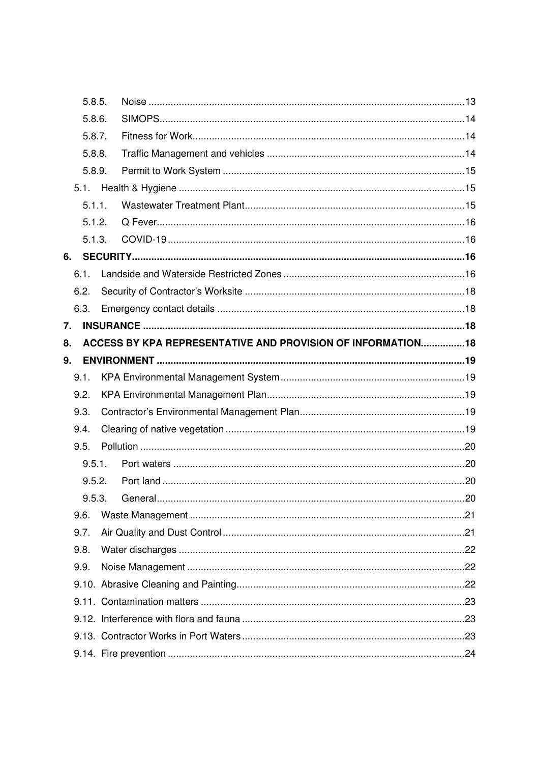|    | 5.8.5. |                                                              |  |
|----|--------|--------------------------------------------------------------|--|
|    | 5.8.6. |                                                              |  |
|    | 5.8.7. |                                                              |  |
|    | 5.8.8. |                                                              |  |
|    | 5.8.9. |                                                              |  |
|    | 5.1.   |                                                              |  |
|    | 5.1.1. |                                                              |  |
|    | 5.1.2. |                                                              |  |
|    | 5.1.3. |                                                              |  |
| 6. |        |                                                              |  |
|    | 6.1.   |                                                              |  |
|    | 6.2.   |                                                              |  |
|    | 6.3.   |                                                              |  |
| 7. |        |                                                              |  |
| 8. |        | ACCESS BY KPA REPRESENTATIVE AND PROVISION OF INFORMATION 18 |  |
| 9. |        |                                                              |  |
|    | 9.1.   |                                                              |  |
|    | 9.2.   |                                                              |  |
|    | 9.3.   |                                                              |  |
|    | 9.4.   |                                                              |  |
|    | 9.5.   |                                                              |  |
|    |        |                                                              |  |
|    | 9.5.1. |                                                              |  |
|    | 9.5.2. |                                                              |  |
|    | 9.5.3. |                                                              |  |
|    | 9.6.   |                                                              |  |
|    | 9.7.   |                                                              |  |
|    | 9.8.   |                                                              |  |
|    | 9.9.   |                                                              |  |
|    |        |                                                              |  |
|    |        |                                                              |  |
|    |        |                                                              |  |
|    |        |                                                              |  |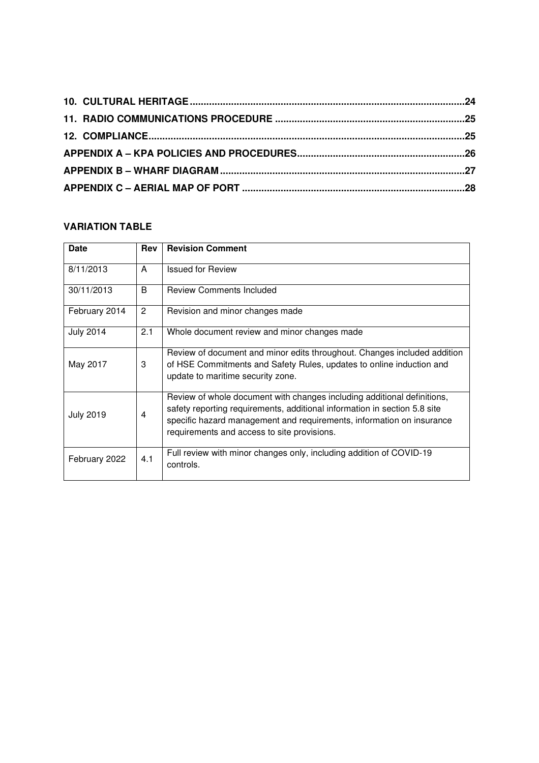# **VARIATION TABLE**

| <b>Date</b>      | Rev | <b>Revision Comment</b>                                                                                                                                                                                                                                                      |
|------------------|-----|------------------------------------------------------------------------------------------------------------------------------------------------------------------------------------------------------------------------------------------------------------------------------|
| 8/11/2013        | A   | <b>Issued for Review</b>                                                                                                                                                                                                                                                     |
| 30/11/2013       | B   | <b>Review Comments Included</b>                                                                                                                                                                                                                                              |
| February 2014    | 2   | Revision and minor changes made                                                                                                                                                                                                                                              |
| <b>July 2014</b> | 2.1 | Whole document review and minor changes made                                                                                                                                                                                                                                 |
| May 2017         | 3   | Review of document and minor edits throughout. Changes included addition<br>of HSE Commitments and Safety Rules, updates to online induction and<br>update to maritime security zone.                                                                                        |
| <b>July 2019</b> | 4   | Review of whole document with changes including additional definitions,<br>safety reporting requirements, additional information in section 5.8 site<br>specific hazard management and requirements, information on insurance<br>requirements and access to site provisions. |
| February 2022    | 4.1 | Full review with minor changes only, including addition of COVID-19<br>controls.                                                                                                                                                                                             |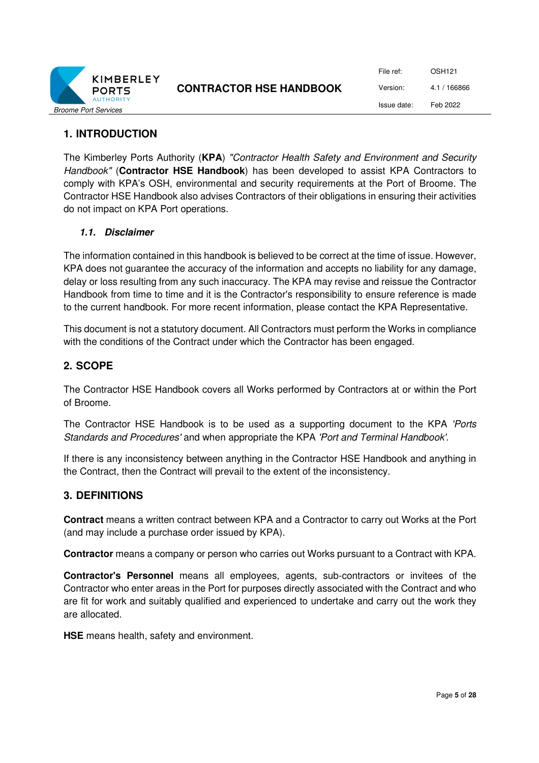

File ref: OSH121 Version: 4.1 / 166866 Issue date: Feb 2022

## **1. INTRODUCTION**

The Kimberley Ports Authority (**KPA**) *"Contractor Health Safety and Environment and Security Handbook"* (**Contractor HSE Handbook**) has been developed to assist KPA Contractors to comply with KPA's OSH, environmental and security requirements at the Port of Broome. The Contractor HSE Handbook also advises Contractors of their obligations in ensuring their activities do not impact on KPA Port operations.

#### **1.1. Disclaimer**

The information contained in this handbook is believed to be correct at the time of issue. However, KPA does not guarantee the accuracy of the information and accepts no liability for any damage, delay or loss resulting from any such inaccuracy. The KPA may revise and reissue the Contractor Handbook from time to time and it is the Contractor's responsibility to ensure reference is made to the current handbook. For more recent information, please contact the KPA Representative.

This document is not a statutory document. All Contractors must perform the Works in compliance with the conditions of the Contract under which the Contractor has been engaged.

#### **2. SCOPE**

The Contractor HSE Handbook covers all Works performed by Contractors at or within the Port of Broome.

The Contractor HSE Handbook is to be used as a supporting document to the KPA *'Ports Standards and Procedures'* and when appropriate the KPA *'Port and Terminal Handbook'*.

If there is any inconsistency between anything in the Contractor HSE Handbook and anything in the Contract, then the Contract will prevail to the extent of the inconsistency.

#### **3. DEFINITIONS**

**Contract** means a written contract between KPA and a Contractor to carry out Works at the Port (and may include a purchase order issued by KPA).

**Contractor** means a company or person who carries out Works pursuant to a Contract with KPA.

**Contractor's Personnel** means all employees, agents, sub-contractors or invitees of the Contractor who enter areas in the Port for purposes directly associated with the Contract and who are fit for work and suitably qualified and experienced to undertake and carry out the work they are allocated.

**HSE** means health, safety and environment.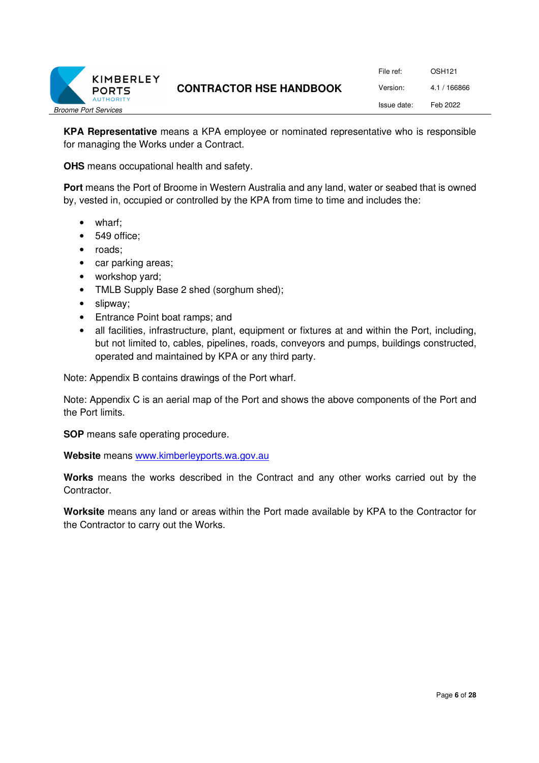

File ref: OSH121 Version: 4.1 / 166866 Issue date: Feb 2022

**KPA Representative** means a KPA employee or nominated representative who is responsible for managing the Works under a Contract.

**OHS** means occupational health and safety.

**Port** means the Port of Broome in Western Australia and any land, water or seabed that is owned by, vested in, occupied or controlled by the KPA from time to time and includes the:

- wharf;
- 549 office;
- roads;
- car parking areas;
- workshop yard;
- TMLB Supply Base 2 shed (sorghum shed);
- slipway;
- Entrance Point boat ramps; and
- all facilities, infrastructure, plant, equipment or fixtures at and within the Port, including, but not limited to, cables, pipelines, roads, conveyors and pumps, buildings constructed, operated and maintained by KPA or any third party.

Note: Appendix B contains drawings of the Port wharf.

Note: Appendix C is an aerial map of the Port and shows the above components of the Port and the Port limits.

**SOP** means safe operating procedure.

**Website** means www.kimberleyports.wa.gov.au

**Works** means the works described in the Contract and any other works carried out by the Contractor.

**Worksite** means any land or areas within the Port made available by KPA to the Contractor for the Contractor to carry out the Works.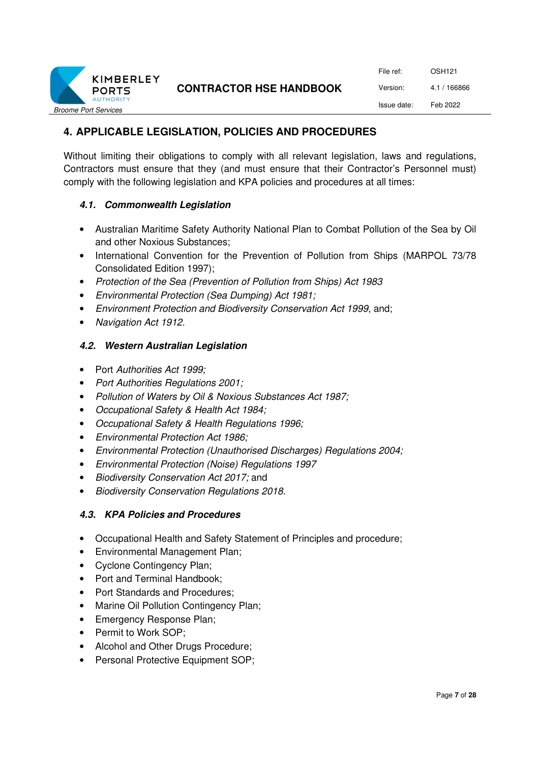

| File ref:   | OSH <sub>121</sub> |
|-------------|--------------------|
| Version:    | 4.1 / 166866       |
| Issue date: | Feb 2022           |

# **4. APPLICABLE LEGISLATION, POLICIES AND PROCEDURES**

Without limiting their obligations to comply with all relevant legislation, laws and regulations, Contractors must ensure that they (and must ensure that their Contractor's Personnel must) comply with the following legislation and KPA policies and procedures at all times:

#### **4.1. Commonwealth Legislation**

- Australian Maritime Safety Authority National Plan to Combat Pollution of the Sea by Oil and other Noxious Substances;
- International Convention for the Prevention of Pollution from Ships (MARPOL 73/78 Consolidated Edition 1997);
- *Protection of the Sea (Prevention of Pollution from Ships) Act 1983*
- *Environmental Protection (Sea Dumping) Act 1981;*
- *Environment Protection and Biodiversity Conservation Act 1999*, and;
- *Navigation Act 1912.*

#### **4.2. Western Australian Legislation**

- Port *Authorities Act 1999;*
- *Port Authorities Regulations 2001;*
- *Pollution of Waters by Oil & Noxious Substances Act 1987;*
- *Occupational Safety & Health Act 1984;*
- *Occupational Safety & Health Regulations 1996;*
- *Environmental Protection Act 1986;*
- *Environmental Protection (Unauthorised Discharges) Regulations 2004;*
- *Environmental Protection (Noise) Regulations 1997*
- *Biodiversity Conservation Act 2017;* and
- *Biodiversity Conservation Regulations 2018.*

#### **4.3. KPA Policies and Procedures**

- Occupational Health and Safety Statement of Principles and procedure;
- Environmental Management Plan;
- Cyclone Contingency Plan;
- Port and Terminal Handbook;
- Port Standards and Procedures:
- Marine Oil Pollution Contingency Plan;
- Emergency Response Plan;
- Permit to Work SOP;
- Alcohol and Other Drugs Procedure;
- Personal Protective Equipment SOP: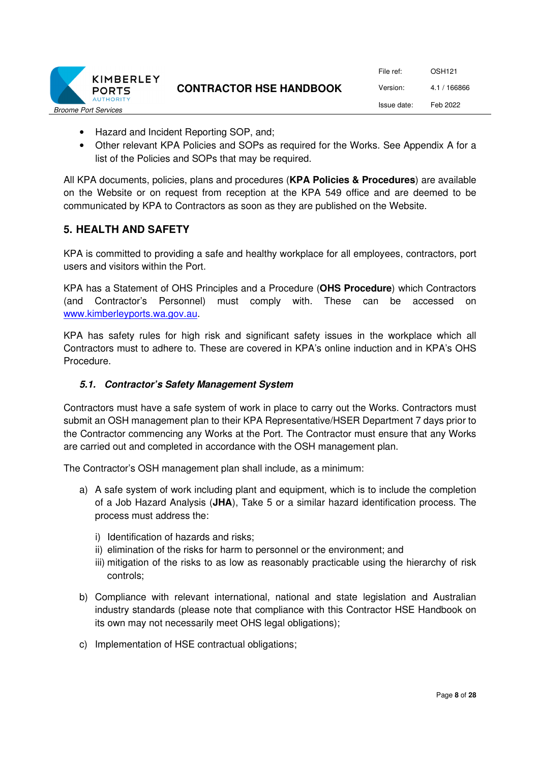

File ref: OSH121 Version: 4.1 / 166866 Issue date: Feb 2022

- Hazard and Incident Reporting SOP, and;
- Other relevant KPA Policies and SOPs as required for the Works. See Appendix A for a list of the Policies and SOPs that may be required.

All KPA documents, policies, plans and procedures (**KPA Policies & Procedures**) are available on the Website or on request from reception at the KPA 549 office and are deemed to be communicated by KPA to Contractors as soon as they are published on the Website.

#### **5. HEALTH AND SAFETY**

KPA is committed to providing a safe and healthy workplace for all employees, contractors, port users and visitors within the Port.

KPA has a Statement of OHS Principles and a Procedure (**OHS Procedure**) which Contractors (and Contractor's Personnel) must comply with. These can be accessed on www.kimberleyports.wa.gov.au.

KPA has safety rules for high risk and significant safety issues in the workplace which all Contractors must to adhere to. These are covered in KPA's online induction and in KPA's OHS Procedure.

#### **5.1. Contractor's Safety Management System**

Contractors must have a safe system of work in place to carry out the Works. Contractors must submit an OSH management plan to their KPA Representative/HSER Department 7 days prior to the Contractor commencing any Works at the Port. The Contractor must ensure that any Works are carried out and completed in accordance with the OSH management plan.

The Contractor's OSH management plan shall include, as a minimum:

- a) A safe system of work including plant and equipment, which is to include the completion of a Job Hazard Analysis (**JHA**), Take 5 or a similar hazard identification process. The process must address the:
	- i) Identification of hazards and risks;
	- ii) elimination of the risks for harm to personnel or the environment; and
	- iii) mitigation of the risks to as low as reasonably practicable using the hierarchy of risk controls;
- b) Compliance with relevant international, national and state legislation and Australian industry standards (please note that compliance with this Contractor HSE Handbook on its own may not necessarily meet OHS legal obligations);
- c) Implementation of HSE contractual obligations;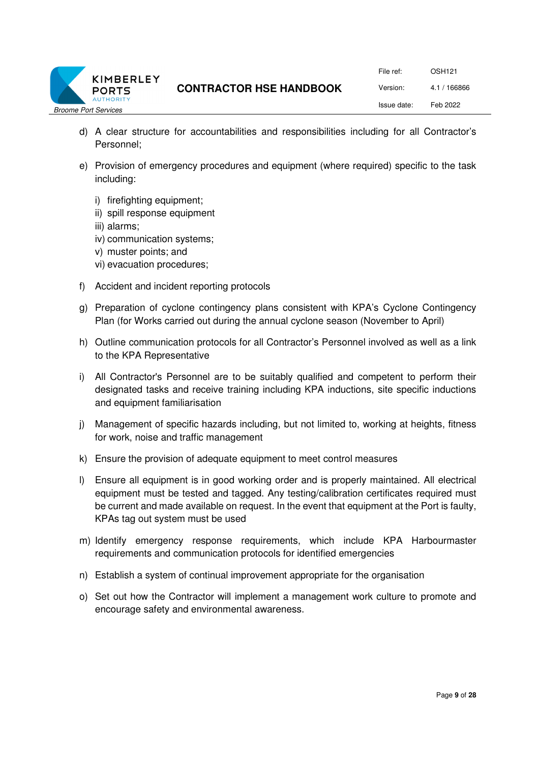

File ref: OSH121 Version: 4.1 / 166866 Issue date: Feb 2022

- d) A clear structure for accountabilities and responsibilities including for all Contractor's Personnel;
- e) Provision of emergency procedures and equipment (where required) specific to the task including:
	- i) firefighting equipment;
	- ii) spill response equipment
	- iii) alarms;
	- iv) communication systems;
	- v) muster points; and
	- vi) evacuation procedures;
- f) Accident and incident reporting protocols
- g) Preparation of cyclone contingency plans consistent with KPA's Cyclone Contingency Plan (for Works carried out during the annual cyclone season (November to April)
- h) Outline communication protocols for all Contractor's Personnel involved as well as a link to the KPA Representative
- i) All Contractor's Personnel are to be suitably qualified and competent to perform their designated tasks and receive training including KPA inductions, site specific inductions and equipment familiarisation
- j) Management of specific hazards including, but not limited to, working at heights, fitness for work, noise and traffic management
- k) Ensure the provision of adequate equipment to meet control measures
- l) Ensure all equipment is in good working order and is properly maintained. All electrical equipment must be tested and tagged. Any testing/calibration certificates required must be current and made available on request. In the event that equipment at the Port is faulty, KPAs tag out system must be used
- m) Identify emergency response requirements, which include KPA Harbourmaster requirements and communication protocols for identified emergencies
- n) Establish a system of continual improvement appropriate for the organisation
- o) Set out how the Contractor will implement a management work culture to promote and encourage safety and environmental awareness.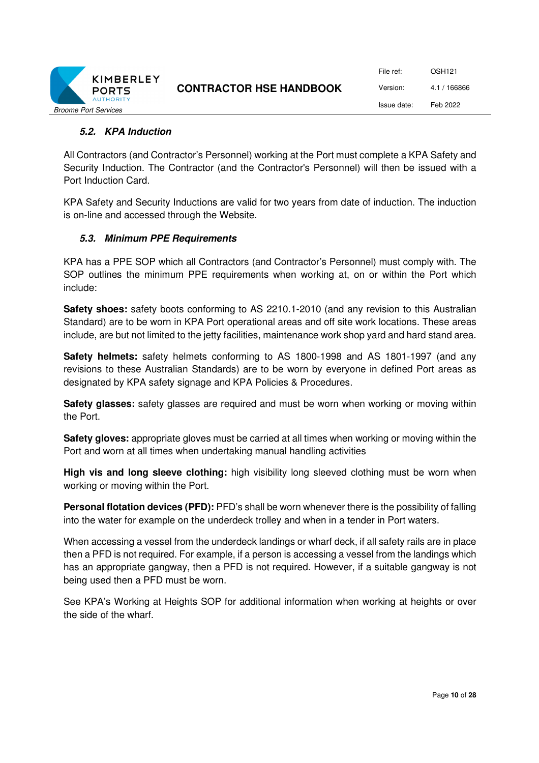

File ref: OSH121 Version: 4.1 / 166866 Issue date: Feb 2022

#### **5.2. KPA Induction**

All Contractors (and Contractor's Personnel) working at the Port must complete a KPA Safety and Security Induction. The Contractor (and the Contractor's Personnel) will then be issued with a Port Induction Card.

KPA Safety and Security Inductions are valid for two years from date of induction. The induction is on-line and accessed through the Website.

#### **5.3. Minimum PPE Requirements**

KPA has a PPE SOP which all Contractors (and Contractor's Personnel) must comply with. The SOP outlines the minimum PPE requirements when working at, on or within the Port which include:

**Safety shoes:** safety boots conforming to AS 2210.1-2010 (and any revision to this Australian Standard) are to be worn in KPA Port operational areas and off site work locations. These areas include, are but not limited to the jetty facilities, maintenance work shop yard and hard stand area.

**Safety helmets:** safety helmets conforming to AS 1800-1998 and AS 1801-1997 (and any revisions to these Australian Standards) are to be worn by everyone in defined Port areas as designated by KPA safety signage and KPA Policies & Procedures.

**Safety glasses:** safety glasses are required and must be worn when working or moving within the Port.

**Safety gloves:** appropriate gloves must be carried at all times when working or moving within the Port and worn at all times when undertaking manual handling activities

**High vis and long sleeve clothing:** high visibility long sleeved clothing must be worn when working or moving within the Port.

**Personal flotation devices (PFD):** PFD's shall be worn whenever there is the possibility of falling into the water for example on the underdeck trolley and when in a tender in Port waters.

When accessing a vessel from the underdeck landings or wharf deck, if all safety rails are in place then a PFD is not required. For example, if a person is accessing a vessel from the landings which has an appropriate gangway, then a PFD is not required. However, if a suitable gangway is not being used then a PFD must be worn.

See KPA's Working at Heights SOP for additional information when working at heights or over the side of the wharf.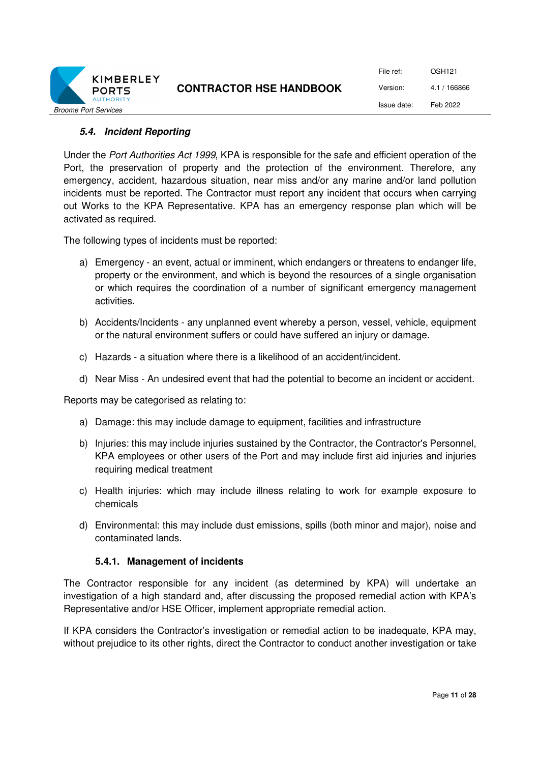

File ref: OSH121 Version: 4.1 / 166866 Issue date: Feb 2022

#### **5.4. Incident Reporting**

Under the *Port Authorities Act 1999*, KPA is responsible for the safe and efficient operation of the Port, the preservation of property and the protection of the environment. Therefore, any emergency, accident, hazardous situation, near miss and/or any marine and/or land pollution incidents must be reported. The Contractor must report any incident that occurs when carrying out Works to the KPA Representative. KPA has an emergency response plan which will be activated as required.

The following types of incidents must be reported:

- a) Emergency an event, actual or imminent, which endangers or threatens to endanger life, property or the environment, and which is beyond the resources of a single organisation or which requires the coordination of a number of significant emergency management activities.
- b) Accidents/Incidents any unplanned event whereby a person, vessel, vehicle, equipment or the natural environment suffers or could have suffered an injury or damage.
- c) Hazards a situation where there is a likelihood of an accident/incident.
- d) Near Miss An undesired event that had the potential to become an incident or accident.

Reports may be categorised as relating to:

- a) Damage: this may include damage to equipment, facilities and infrastructure
- b) Injuries: this may include injuries sustained by the Contractor, the Contractor's Personnel, KPA employees or other users of the Port and may include first aid injuries and injuries requiring medical treatment
- c) Health injuries: which may include illness relating to work for example exposure to chemicals
- d) Environmental: this may include dust emissions, spills (both minor and major), noise and contaminated lands.

#### **5.4.1. Management of incidents**

The Contractor responsible for any incident (as determined by KPA) will undertake an investigation of a high standard and, after discussing the proposed remedial action with KPA's Representative and/or HSE Officer, implement appropriate remedial action.

If KPA considers the Contractor's investigation or remedial action to be inadequate, KPA may, without prejudice to its other rights, direct the Contractor to conduct another investigation or take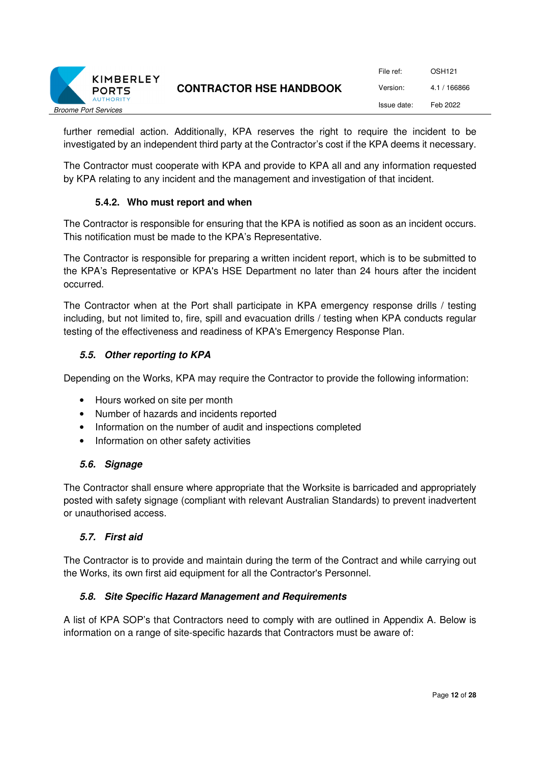

| File ref:   | OSH121       |
|-------------|--------------|
| Version:    | 4.1 / 166866 |
| Issue date: | Feb 2022     |

further remedial action. Additionally, KPA reserves the right to require the incident to be investigated by an independent third party at the Contractor's cost if the KPA deems it necessary.

The Contractor must cooperate with KPA and provide to KPA all and any information requested by KPA relating to any incident and the management and investigation of that incident.

#### **5.4.2. Who must report and when**

The Contractor is responsible for ensuring that the KPA is notified as soon as an incident occurs. This notification must be made to the KPA's Representative.

The Contractor is responsible for preparing a written incident report, which is to be submitted to the KPA's Representative or KPA's HSE Department no later than 24 hours after the incident occurred.

The Contractor when at the Port shall participate in KPA emergency response drills / testing including, but not limited to, fire, spill and evacuation drills / testing when KPA conducts regular testing of the effectiveness and readiness of KPA's Emergency Response Plan.

#### **5.5. Other reporting to KPA**

Depending on the Works, KPA may require the Contractor to provide the following information:

- Hours worked on site per month
- Number of hazards and incidents reported
- Information on the number of audit and inspections completed
- Information on other safety activities

#### **5.6. Signage**

The Contractor shall ensure where appropriate that the Worksite is barricaded and appropriately posted with safety signage (compliant with relevant Australian Standards) to prevent inadvertent or unauthorised access.

#### **5.7. First aid**

The Contractor is to provide and maintain during the term of the Contract and while carrying out the Works, its own first aid equipment for all the Contractor's Personnel.

#### **5.8. Site Specific Hazard Management and Requirements**

A list of KPA SOP's that Contractors need to comply with are outlined in Appendix A. Below is information on a range of site-specific hazards that Contractors must be aware of: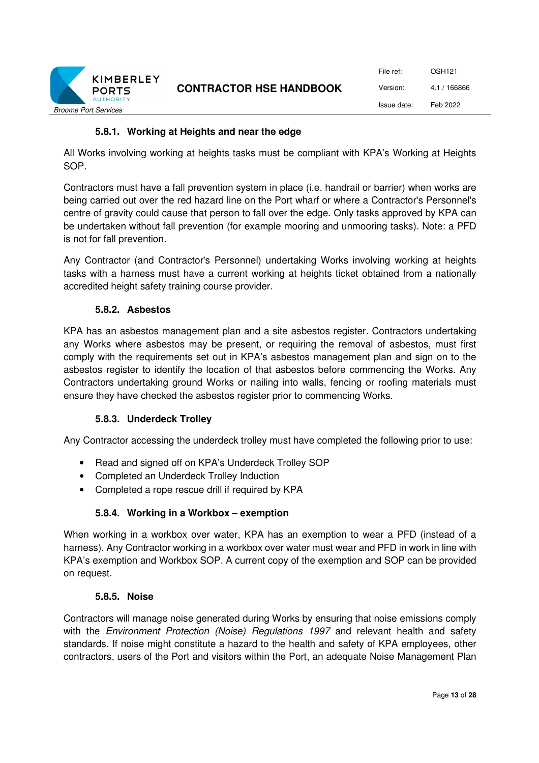

#### **5.8.1. Working at Heights and near the edge**

All Works involving working at heights tasks must be compliant with KPA's Working at Heights SOP.

Contractors must have a fall prevention system in place (i.e. handrail or barrier) when works are being carried out over the red hazard line on the Port wharf or where a Contractor's Personnel's centre of gravity could cause that person to fall over the edge. Only tasks approved by KPA can be undertaken without fall prevention (for example mooring and unmooring tasks). Note: a PFD is not for fall prevention.

Any Contractor (and Contractor's Personnel) undertaking Works involving working at heights tasks with a harness must have a current working at heights ticket obtained from a nationally accredited height safety training course provider.

#### **5.8.2. Asbestos**

KPA has an asbestos management plan and a site asbestos register. Contractors undertaking any Works where asbestos may be present, or requiring the removal of asbestos, must first comply with the requirements set out in KPA's asbestos management plan and sign on to the asbestos register to identify the location of that asbestos before commencing the Works. Any Contractors undertaking ground Works or nailing into walls, fencing or roofing materials must ensure they have checked the asbestos register prior to commencing Works.

#### **5.8.3. Underdeck Trolley**

Any Contractor accessing the underdeck trolley must have completed the following prior to use:

- Read and signed off on KPA's Underdeck Trolley SOP
- Completed an Underdeck Trolley Induction
- Completed a rope rescue drill if required by KPA

#### **5.8.4. Working in a Workbox – exemption**

When working in a workbox over water, KPA has an exemption to wear a PFD (instead of a harness). Any Contractor working in a workbox over water must wear and PFD in work in line with KPA's exemption and Workbox SOP. A current copy of the exemption and SOP can be provided on request.

#### **5.8.5. Noise**

Contractors will manage noise generated during Works by ensuring that noise emissions comply with the *Environment Protection (Noise) Regulations 1997* and relevant health and safety standards. If noise might constitute a hazard to the health and safety of KPA employees, other contractors, users of the Port and visitors within the Port, an adequate Noise Management Plan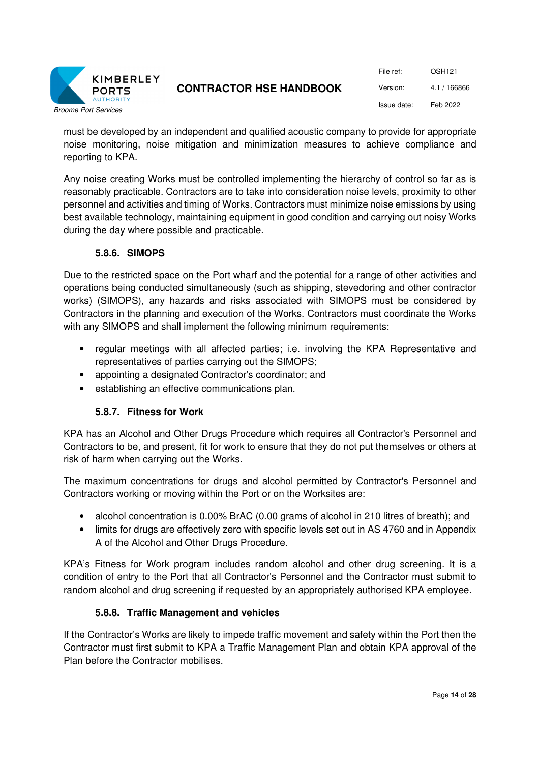

| File ref:   | OSH <sub>121</sub> |
|-------------|--------------------|
| Version:    | 4.1 / 166866       |
| Issue date: | Feb 2022           |

must be developed by an independent and qualified acoustic company to provide for appropriate noise monitoring, noise mitigation and minimization measures to achieve compliance and reporting to KPA.

Any noise creating Works must be controlled implementing the hierarchy of control so far as is reasonably practicable. Contractors are to take into consideration noise levels, proximity to other personnel and activities and timing of Works. Contractors must minimize noise emissions by using best available technology, maintaining equipment in good condition and carrying out noisy Works during the day where possible and practicable.

#### **5.8.6. SIMOPS**

Due to the restricted space on the Port wharf and the potential for a range of other activities and operations being conducted simultaneously (such as shipping, stevedoring and other contractor works) (SIMOPS), any hazards and risks associated with SIMOPS must be considered by Contractors in the planning and execution of the Works. Contractors must coordinate the Works with any SIMOPS and shall implement the following minimum requirements:

- regular meetings with all affected parties; i.e. involving the KPA Representative and representatives of parties carrying out the SIMOPS;
- appointing a designated Contractor's coordinator; and
- establishing an effective communications plan.

#### **5.8.7. Fitness for Work**

KPA has an Alcohol and Other Drugs Procedure which requires all Contractor's Personnel and Contractors to be, and present, fit for work to ensure that they do not put themselves or others at risk of harm when carrying out the Works.

The maximum concentrations for drugs and alcohol permitted by Contractor's Personnel and Contractors working or moving within the Port or on the Worksites are:

- alcohol concentration is 0.00% BrAC (0.00 grams of alcohol in 210 litres of breath); and
- limits for drugs are effectively zero with specific levels set out in AS 4760 and in Appendix A of the Alcohol and Other Drugs Procedure.

KPA's Fitness for Work program includes random alcohol and other drug screening. It is a condition of entry to the Port that all Contractor's Personnel and the Contractor must submit to random alcohol and drug screening if requested by an appropriately authorised KPA employee.

#### **5.8.8. Traffic Management and vehicles**

If the Contractor's Works are likely to impede traffic movement and safety within the Port then the Contractor must first submit to KPA a Traffic Management Plan and obtain KPA approval of the Plan before the Contractor mobilises.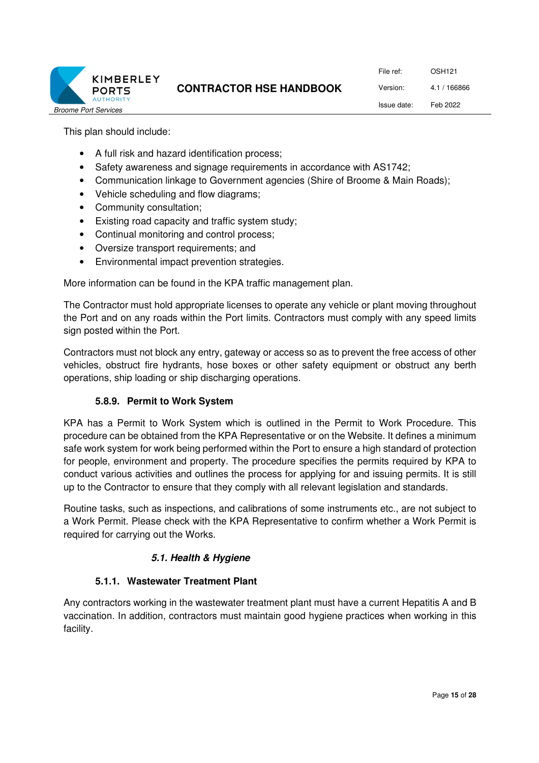

File ref: OSH121 Version: 4.1 / 166866 Issue date: Feb 2022

This plan should include:

- A full risk and hazard identification process;
- Safety awareness and signage requirements in accordance with AS1742;
- Communication linkage to Government agencies (Shire of Broome & Main Roads);
- Vehicle scheduling and flow diagrams;
- Community consultation;
- Existing road capacity and traffic system study;
- Continual monitoring and control process:
- Oversize transport requirements; and
- Environmental impact prevention strategies.

More information can be found in the KPA traffic management plan.

The Contractor must hold appropriate licenses to operate any vehicle or plant moving throughout the Port and on any roads within the Port limits. Contractors must comply with any speed limits sign posted within the Port.

Contractors must not block any entry, gateway or access so as to prevent the free access of other vehicles, obstruct fire hydrants, hose boxes or other safety equipment or obstruct any berth operations, ship loading or ship discharging operations.

#### **5.8.9. Permit to Work System**

KPA has a Permit to Work System which is outlined in the Permit to Work Procedure. This procedure can be obtained from the KPA Representative or on the Website. It defines a minimum safe work system for work being performed within the Port to ensure a high standard of protection for people, environment and property. The procedure specifies the permits required by KPA to conduct various activities and outlines the process for applying for and issuing permits. It is still up to the Contractor to ensure that they comply with all relevant legislation and standards.

Routine tasks, such as inspections, and calibrations of some instruments etc., are not subject to a Work Permit. Please check with the KPA Representative to confirm whether a Work Permit is required for carrying out the Works.

#### **5.1. Health & Hygiene**

#### **5.1.1. Wastewater Treatment Plant**

Any contractors working in the wastewater treatment plant must have a current Hepatitis A and B vaccination. In addition, contractors must maintain good hygiene practices when working in this facility.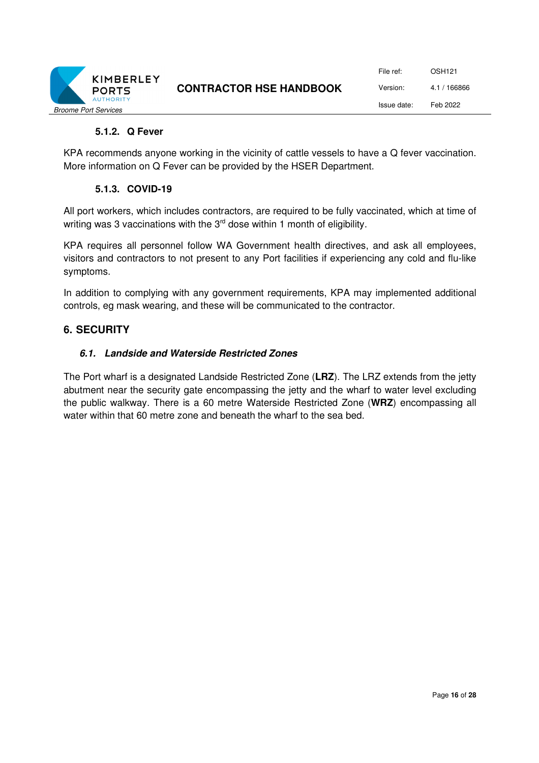

#### **5.1.2. Q Fever**

KPA recommends anyone working in the vicinity of cattle vessels to have a Q fever vaccination. More information on Q Fever can be provided by the HSER Department.

#### **5.1.3. COVID-19**

All port workers, which includes contractors, are required to be fully vaccinated, which at time of writing was 3 vaccinations with the 3<sup>rd</sup> dose within 1 month of eligibility.

KPA requires all personnel follow WA Government health directives, and ask all employees, visitors and contractors to not present to any Port facilities if experiencing any cold and flu-like symptoms.

In addition to complying with any government requirements, KPA may implemented additional controls, eg mask wearing, and these will be communicated to the contractor.

#### **6. SECURITY**

#### **6.1. Landside and Waterside Restricted Zones**

The Port wharf is a designated Landside Restricted Zone (**LRZ**). The LRZ extends from the jetty abutment near the security gate encompassing the jetty and the wharf to water level excluding the public walkway. There is a 60 metre Waterside Restricted Zone (**WRZ**) encompassing all water within that 60 metre zone and beneath the wharf to the sea bed.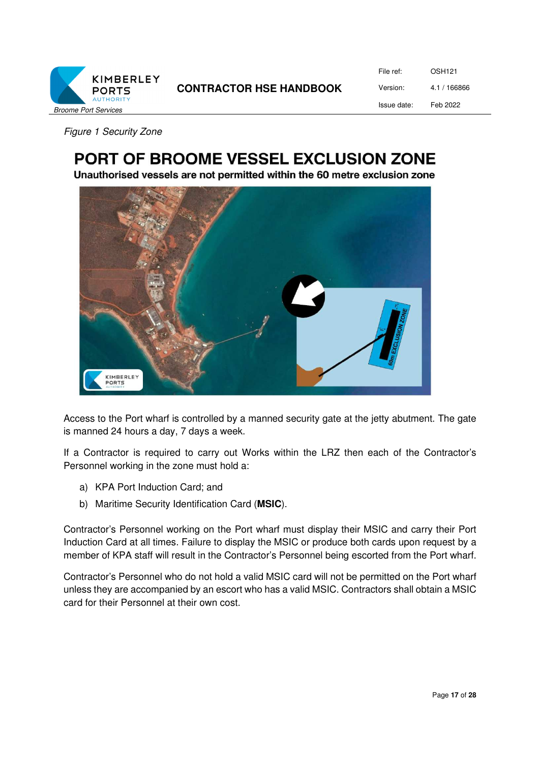

| File ref:   | OSH121       |
|-------------|--------------|
| Version:    | 4.1 / 166866 |
| Issue date: | Feb 2022     |

*Figure 1 Security Zone* 

# PORT OF BROOME VESSEL EXCLUSION ZONE

Unauthorised vessels are not permitted within the 60 metre exclusion zone



Access to the Port wharf is controlled by a manned security gate at the jetty abutment. The gate is manned 24 hours a day, 7 days a week.

If a Contractor is required to carry out Works within the LRZ then each of the Contractor's Personnel working in the zone must hold a:

- a) KPA Port Induction Card; and
- b) Maritime Security Identification Card (**MSIC**).

Contractor's Personnel working on the Port wharf must display their MSIC and carry their Port Induction Card at all times. Failure to display the MSIC or produce both cards upon request by a member of KPA staff will result in the Contractor's Personnel being escorted from the Port wharf.

Contractor's Personnel who do not hold a valid MSIC card will not be permitted on the Port wharf unless they are accompanied by an escort who has a valid MSIC. Contractors shall obtain a MSIC card for their Personnel at their own cost.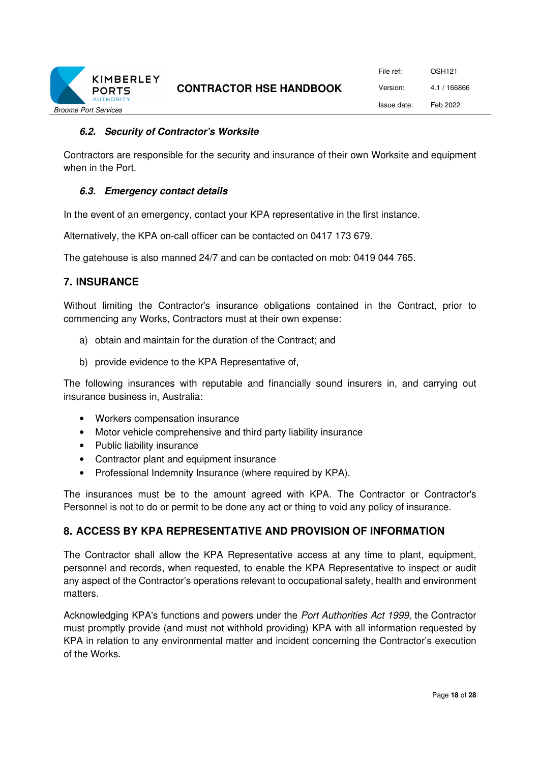

#### **6.2. Security of Contractor's Worksite**

Contractors are responsible for the security and insurance of their own Worksite and equipment when in the Port.

#### **6.3. Emergency contact details**

In the event of an emergency, contact your KPA representative in the first instance.

Alternatively, the KPA on-call officer can be contacted on 0417 173 679.

The gatehouse is also manned 24/7 and can be contacted on mob: 0419 044 765.

#### **7. INSURANCE**

Without limiting the Contractor's insurance obligations contained in the Contract, prior to commencing any Works, Contractors must at their own expense:

- a) obtain and maintain for the duration of the Contract; and
- b) provide evidence to the KPA Representative of,

The following insurances with reputable and financially sound insurers in, and carrying out insurance business in, Australia:

- Workers compensation insurance
- Motor vehicle comprehensive and third party liability insurance
- Public liability insurance
- Contractor plant and equipment insurance
- Professional Indemnity Insurance (where required by KPA).

The insurances must be to the amount agreed with KPA. The Contractor or Contractor's Personnel is not to do or permit to be done any act or thing to void any policy of insurance.

#### **8. ACCESS BY KPA REPRESENTATIVE AND PROVISION OF INFORMATION**

The Contractor shall allow the KPA Representative access at any time to plant, equipment, personnel and records, when requested, to enable the KPA Representative to inspect or audit any aspect of the Contractor's operations relevant to occupational safety, health and environment matters.

Acknowledging KPA's functions and powers under the *Port Authorities Act 1999*, the Contractor must promptly provide (and must not withhold providing) KPA with all information requested by KPA in relation to any environmental matter and incident concerning the Contractor's execution of the Works.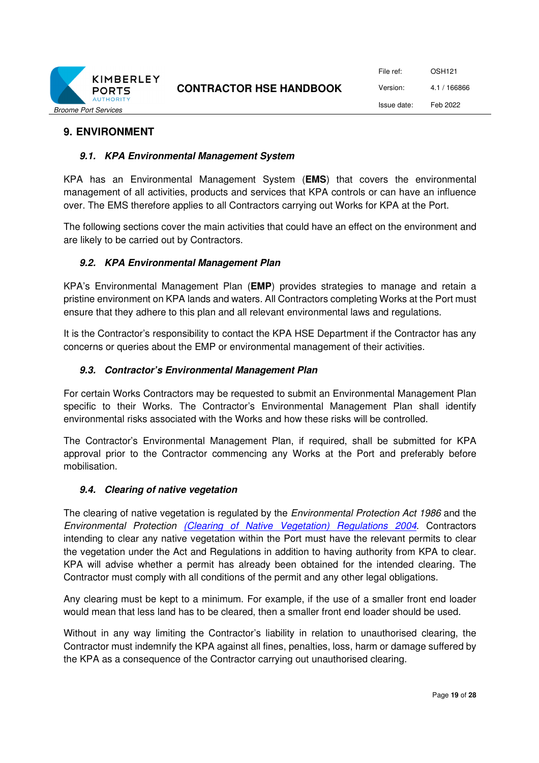

File ref: OSH121 Version: 4.1 / 166866 Issue date: Feb 2022

#### **9. ENVIRONMENT**

#### **9.1. KPA Environmental Management System**

KPA has an Environmental Management System (**EMS**) that covers the environmental management of all activities, products and services that KPA controls or can have an influence over. The EMS therefore applies to all Contractors carrying out Works for KPA at the Port.

The following sections cover the main activities that could have an effect on the environment and are likely to be carried out by Contractors.

#### **9.2. KPA Environmental Management Plan**

KPA's Environmental Management Plan (**EMP**) provides strategies to manage and retain a pristine environment on KPA lands and waters. All Contractors completing Works at the Port must ensure that they adhere to this plan and all relevant environmental laws and regulations.

It is the Contractor's responsibility to contact the KPA HSE Department if the Contractor has any concerns or queries about the EMP or environmental management of their activities.

#### **9.3. Contractor's Environmental Management Plan**

For certain Works Contractors may be requested to submit an Environmental Management Plan specific to their Works. The Contractor's Environmental Management Plan shall identify environmental risks associated with the Works and how these risks will be controlled.

The Contractor's Environmental Management Plan, if required, shall be submitted for KPA approval prior to the Contractor commencing any Works at the Port and preferably before mobilisation.

#### **9.4. Clearing of native vegetation**

The clearing of native vegetation is regulated by the *Environmental Protection Act 1986* and the *Environmental Protection (Clearing of Native Vegetation) Regulations 2004*. Contractors intending to clear any native vegetation within the Port must have the relevant permits to clear the vegetation under the Act and Regulations in addition to having authority from KPA to clear. KPA will advise whether a permit has already been obtained for the intended clearing. The Contractor must comply with all conditions of the permit and any other legal obligations.

Any clearing must be kept to a minimum. For example, if the use of a smaller front end loader would mean that less land has to be cleared, then a smaller front end loader should be used.

Without in any way limiting the Contractor's liability in relation to unauthorised clearing, the Contractor must indemnify the KPA against all fines, penalties, loss, harm or damage suffered by the KPA as a consequence of the Contractor carrying out unauthorised clearing.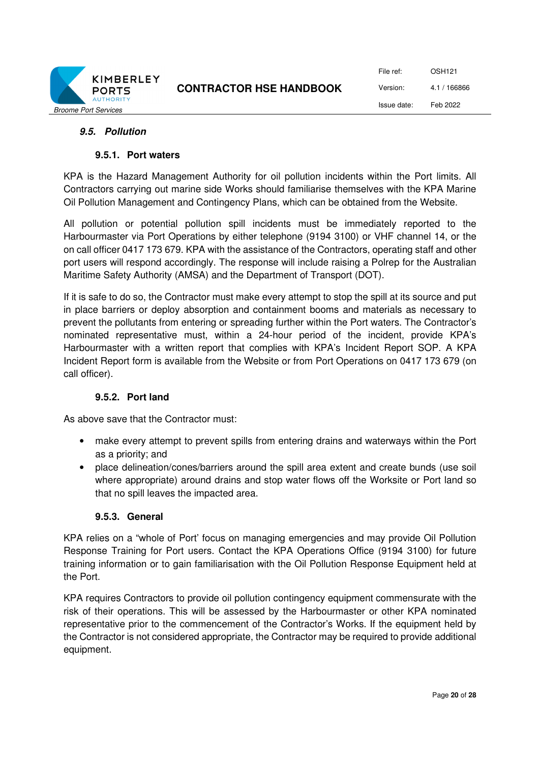

#### **9.5. Pollution**

#### **9.5.1. Port waters**

KPA is the Hazard Management Authority for oil pollution incidents within the Port limits. All Contractors carrying out marine side Works should familiarise themselves with the KPA Marine Oil Pollution Management and Contingency Plans, which can be obtained from the Website.

All pollution or potential pollution spill incidents must be immediately reported to the Harbourmaster via Port Operations by either telephone (9194 3100) or VHF channel 14, or the on call officer 0417 173 679. KPA with the assistance of the Contractors, operating staff and other port users will respond accordingly. The response will include raising a Polrep for the Australian Maritime Safety Authority (AMSA) and the Department of Transport (DOT).

If it is safe to do so, the Contractor must make every attempt to stop the spill at its source and put in place barriers or deploy absorption and containment booms and materials as necessary to prevent the pollutants from entering or spreading further within the Port waters. The Contractor's nominated representative must, within a 24-hour period of the incident, provide KPA's Harbourmaster with a written report that complies with KPA's Incident Report SOP. A KPA Incident Report form is available from the Website or from Port Operations on 0417 173 679 (on call officer).

#### **9.5.2. Port land**

As above save that the Contractor must:

- make every attempt to prevent spills from entering drains and waterways within the Port as a priority; and
- place delineation/cones/barriers around the spill area extent and create bunds (use soil where appropriate) around drains and stop water flows off the Worksite or Port land so that no spill leaves the impacted area.

#### **9.5.3. General**

KPA relies on a "whole of Port' focus on managing emergencies and may provide Oil Pollution Response Training for Port users. Contact the KPA Operations Office (9194 3100) for future training information or to gain familiarisation with the Oil Pollution Response Equipment held at the Port.

KPA requires Contractors to provide oil pollution contingency equipment commensurate with the risk of their operations. This will be assessed by the Harbourmaster or other KPA nominated representative prior to the commencement of the Contractor's Works. If the equipment held by the Contractor is not considered appropriate, the Contractor may be required to provide additional equipment.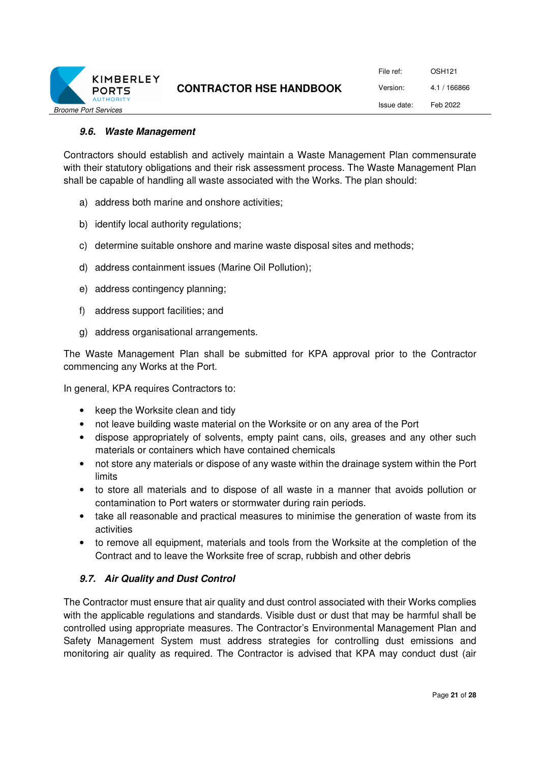

#### **9.6. Waste Management**

Contractors should establish and actively maintain a Waste Management Plan commensurate with their statutory obligations and their risk assessment process. The Waste Management Plan shall be capable of handling all waste associated with the Works. The plan should:

- a) address both marine and onshore activities;
- b) identify local authority regulations;
- c) determine suitable onshore and marine waste disposal sites and methods;
- d) address containment issues (Marine Oil Pollution);
- e) address contingency planning;
- f) address support facilities; and
- g) address organisational arrangements.

The Waste Management Plan shall be submitted for KPA approval prior to the Contractor commencing any Works at the Port.

In general, KPA requires Contractors to:

- keep the Worksite clean and tidy
- not leave building waste material on the Worksite or on any area of the Port
- dispose appropriately of solvents, empty paint cans, oils, greases and any other such materials or containers which have contained chemicals
- not store any materials or dispose of any waste within the drainage system within the Port limits
- to store all materials and to dispose of all waste in a manner that avoids pollution or contamination to Port waters or stormwater during rain periods.
- take all reasonable and practical measures to minimise the generation of waste from its activities
- to remove all equipment, materials and tools from the Worksite at the completion of the Contract and to leave the Worksite free of scrap, rubbish and other debris

#### **9.7. Air Quality and Dust Control**

The Contractor must ensure that air quality and dust control associated with their Works complies with the applicable regulations and standards. Visible dust or dust that may be harmful shall be controlled using appropriate measures. The Contractor's Environmental Management Plan and Safety Management System must address strategies for controlling dust emissions and monitoring air quality as required. The Contractor is advised that KPA may conduct dust (air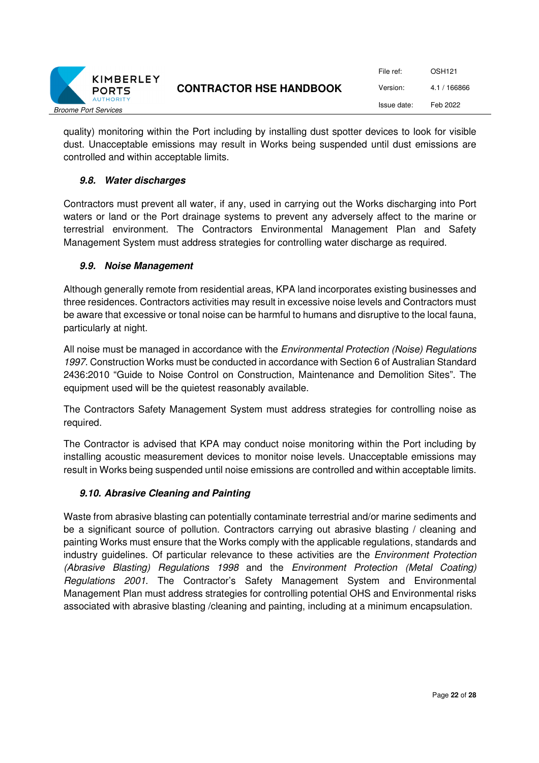

File ref: OSH121 Version: 4.1 / 166866 Issue date: Feb 2022

quality) monitoring within the Port including by installing dust spotter devices to look for visible dust. Unacceptable emissions may result in Works being suspended until dust emissions are controlled and within acceptable limits.

#### **9.8. Water discharges**

Contractors must prevent all water, if any, used in carrying out the Works discharging into Port waters or land or the Port drainage systems to prevent any adversely affect to the marine or terrestrial environment. The Contractors Environmental Management Plan and Safety Management System must address strategies for controlling water discharge as required.

#### **9.9. Noise Management**

Although generally remote from residential areas, KPA land incorporates existing businesses and three residences. Contractors activities may result in excessive noise levels and Contractors must be aware that excessive or tonal noise can be harmful to humans and disruptive to the local fauna, particularly at night.

All noise must be managed in accordance with the *Environmental Protection (Noise) Regulations 1997*. Construction Works must be conducted in accordance with Section 6 of Australian Standard 2436:2010 "Guide to Noise Control on Construction, Maintenance and Demolition Sites". The equipment used will be the quietest reasonably available.

The Contractors Safety Management System must address strategies for controlling noise as required.

The Contractor is advised that KPA may conduct noise monitoring within the Port including by installing acoustic measurement devices to monitor noise levels. Unacceptable emissions may result in Works being suspended until noise emissions are controlled and within acceptable limits.

#### **9.10. Abrasive Cleaning and Painting**

Waste from abrasive blasting can potentially contaminate terrestrial and/or marine sediments and be a significant source of pollution. Contractors carrying out abrasive blasting / cleaning and painting Works must ensure that the Works comply with the applicable regulations, standards and industry guidelines. Of particular relevance to these activities are the *Environment Protection (Abrasive Blasting) Regulations 1998* and the *Environment Protection (Metal Coating) Regulations 2001*. The Contractor's Safety Management System and Environmental Management Plan must address strategies for controlling potential OHS and Environmental risks associated with abrasive blasting /cleaning and painting, including at a minimum encapsulation.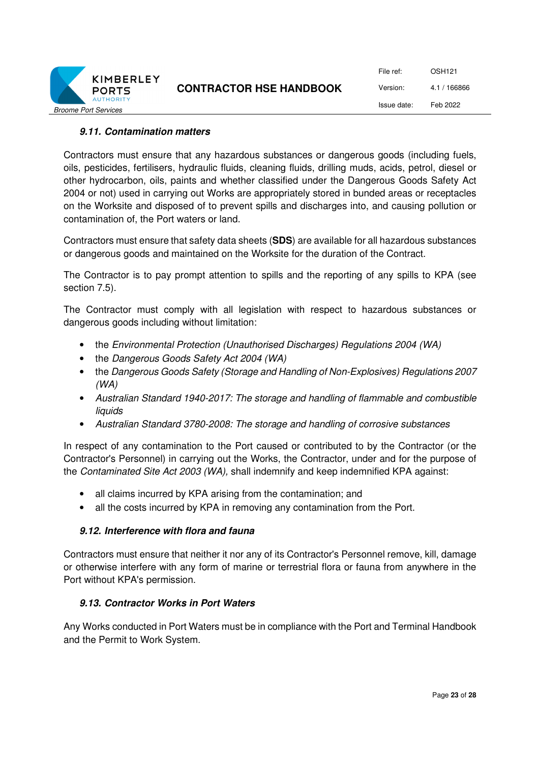

#### **9.11. Contamination matters**

Contractors must ensure that any hazardous substances or dangerous goods (including fuels, oils, pesticides, fertilisers, hydraulic fluids, cleaning fluids, drilling muds, acids, petrol, diesel or other hydrocarbon, oils, paints and whether classified under the Dangerous Goods Safety Act 2004 or not) used in carrying out Works are appropriately stored in bunded areas or receptacles on the Worksite and disposed of to prevent spills and discharges into, and causing pollution or contamination of, the Port waters or land.

Contractors must ensure that safety data sheets (**SDS**) are available for all hazardous substances or dangerous goods and maintained on the Worksite for the duration of the Contract.

The Contractor is to pay prompt attention to spills and the reporting of any spills to KPA (see section 7.5).

The Contractor must comply with all legislation with respect to hazardous substances or dangerous goods including without limitation:

- the *Environmental Protection (Unauthorised Discharges) Regulations 2004 (WA)*
- the *Dangerous Goods Safety Act 2004 (WA)*
- the *Dangerous Goods Safety (Storage and Handling of Non-Explosives) Regulations 2007 (WA)*
- *Australian Standard 1940-2017: The storage and handling of flammable and combustible liquids*
- *Australian Standard 3780-2008: The storage and handling of corrosive substances*

In respect of any contamination to the Port caused or contributed to by the Contractor (or the Contractor's Personnel) in carrying out the Works, the Contractor, under and for the purpose of the *Contaminated Site Act 2003 (WA),* shall indemnify and keep indemnified KPA against:

- all claims incurred by KPA arising from the contamination; and
- all the costs incurred by KPA in removing any contamination from the Port.

#### **9.12. Interference with flora and fauna**

Contractors must ensure that neither it nor any of its Contractor's Personnel remove, kill, damage or otherwise interfere with any form of marine or terrestrial flora or fauna from anywhere in the Port without KPA's permission.

#### **9.13. Contractor Works in Port Waters**

Any Works conducted in Port Waters must be in compliance with the Port and Terminal Handbook and the Permit to Work System.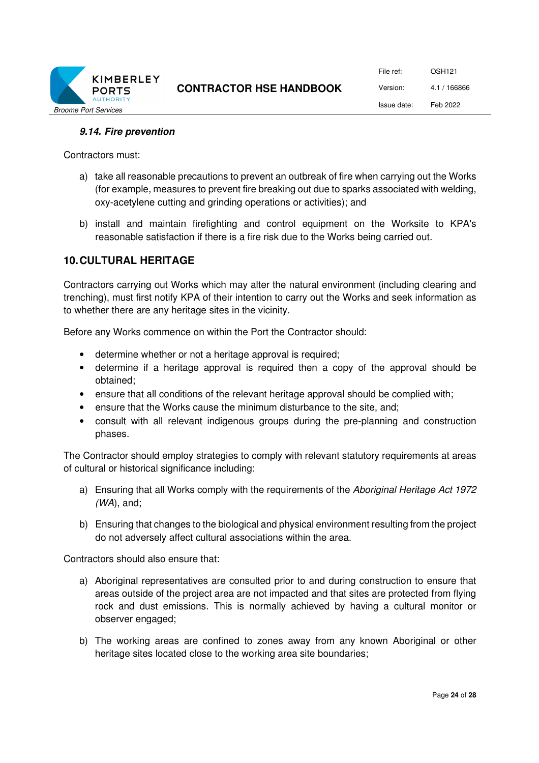

#### **9.14. Fire prevention**

Contractors must:

- a) take all reasonable precautions to prevent an outbreak of fire when carrying out the Works (for example, measures to prevent fire breaking out due to sparks associated with welding, oxy-acetylene cutting and grinding operations or activities); and
- b) install and maintain firefighting and control equipment on the Worksite to KPA's reasonable satisfaction if there is a fire risk due to the Works being carried out.

#### **10. CULTURAL HERITAGE**

Contractors carrying out Works which may alter the natural environment (including clearing and trenching), must first notify KPA of their intention to carry out the Works and seek information as to whether there are any heritage sites in the vicinity.

Before any Works commence on within the Port the Contractor should:

- determine whether or not a heritage approval is required;
- determine if a heritage approval is required then a copy of the approval should be obtained;
- ensure that all conditions of the relevant heritage approval should be complied with;
- ensure that the Works cause the minimum disturbance to the site, and;
- consult with all relevant indigenous groups during the pre-planning and construction phases.

The Contractor should employ strategies to comply with relevant statutory requirements at areas of cultural or historical significance including:

- a) Ensuring that all Works comply with the requirements of the *Aboriginal Heritage Act 1972 (WA*), and;
- b) Ensuring that changes to the biological and physical environment resulting from the project do not adversely affect cultural associations within the area.

Contractors should also ensure that:

- a) Aboriginal representatives are consulted prior to and during construction to ensure that areas outside of the project area are not impacted and that sites are protected from flying rock and dust emissions. This is normally achieved by having a cultural monitor or observer engaged;
- b) The working areas are confined to zones away from any known Aboriginal or other heritage sites located close to the working area site boundaries;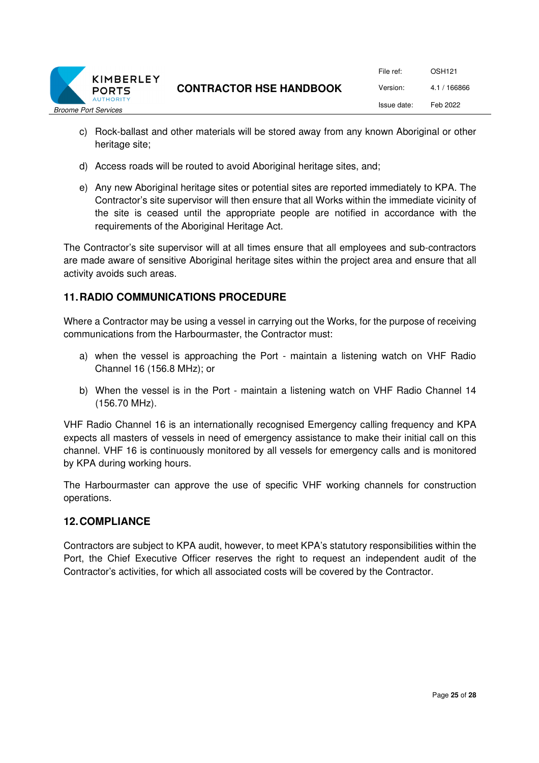

- c) Rock-ballast and other materials will be stored away from any known Aboriginal or other heritage site;
- d) Access roads will be routed to avoid Aboriginal heritage sites, and;
- e) Any new Aboriginal heritage sites or potential sites are reported immediately to KPA. The Contractor's site supervisor will then ensure that all Works within the immediate vicinity of the site is ceased until the appropriate people are notified in accordance with the requirements of the Aboriginal Heritage Act.

The Contractor's site supervisor will at all times ensure that all employees and sub-contractors are made aware of sensitive Aboriginal heritage sites within the project area and ensure that all activity avoids such areas.

## **11. RADIO COMMUNICATIONS PROCEDURE**

Where a Contractor may be using a vessel in carrying out the Works, for the purpose of receiving communications from the Harbourmaster, the Contractor must:

- a) when the vessel is approaching the Port maintain a listening watch on VHF Radio Channel 16 (156.8 MHz); or
- b) When the vessel is in the Port maintain a listening watch on VHF Radio Channel 14 (156.70 MHz).

VHF Radio Channel 16 is an internationally recognised Emergency calling frequency and KPA expects all masters of vessels in need of emergency assistance to make their initial call on this channel. VHF 16 is continuously monitored by all vessels for emergency calls and is monitored by KPA during working hours.

The Harbourmaster can approve the use of specific VHF working channels for construction operations.

#### **12. COMPLIANCE**

Contractors are subject to KPA audit, however, to meet KPA's statutory responsibilities within the Port, the Chief Executive Officer reserves the right to request an independent audit of the Contractor's activities, for which all associated costs will be covered by the Contractor.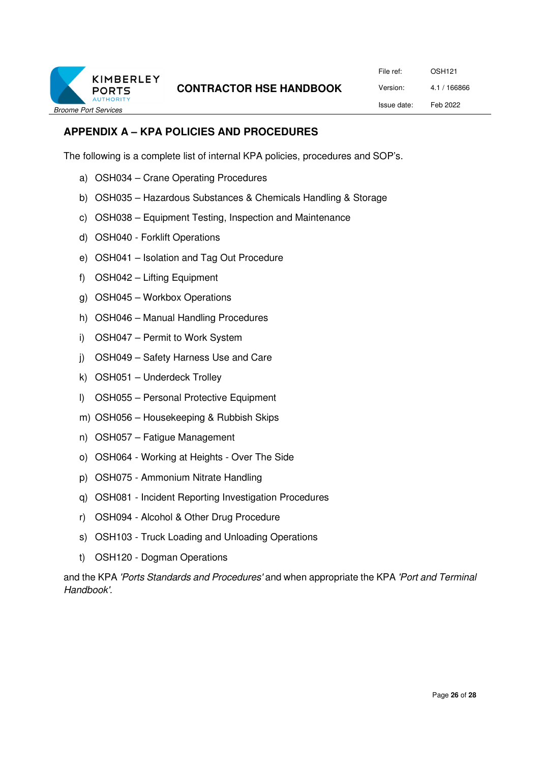

File ref: OSH121 Version: 4.1 / 166866 Issue date: Feb 2022

# **APPENDIX A – KPA POLICIES AND PROCEDURES**

The following is a complete list of internal KPA policies, procedures and SOP's.

- a) OSH034 Crane Operating Procedures
- b) OSH035 Hazardous Substances & Chemicals Handling & Storage
- c) OSH038 Equipment Testing, Inspection and Maintenance
- d) OSH040 Forklift Operations
- e) OSH041 Isolation and Tag Out Procedure
- f) OSH042 Lifting Equipment
- g) OSH045 Workbox Operations
- h) OSH046 Manual Handling Procedures
- i) OSH047 Permit to Work System
- j) OSH049 Safety Harness Use and Care
- k) OSH051 Underdeck Trolley
- l) OSH055 Personal Protective Equipment
- m) OSH056 Housekeeping & Rubbish Skips
- n) OSH057 Fatigue Management
- o) OSH064 Working at Heights Over The Side
- p) OSH075 Ammonium Nitrate Handling
- q) OSH081 Incident Reporting Investigation Procedures
- r) OSH094 Alcohol & Other Drug Procedure
- s) OSH103 Truck Loading and Unloading Operations
- t) OSH120 Dogman Operations

and the KPA *'Ports Standards and Procedures'* and when appropriate the KPA *'Port and Terminal Handbook'.*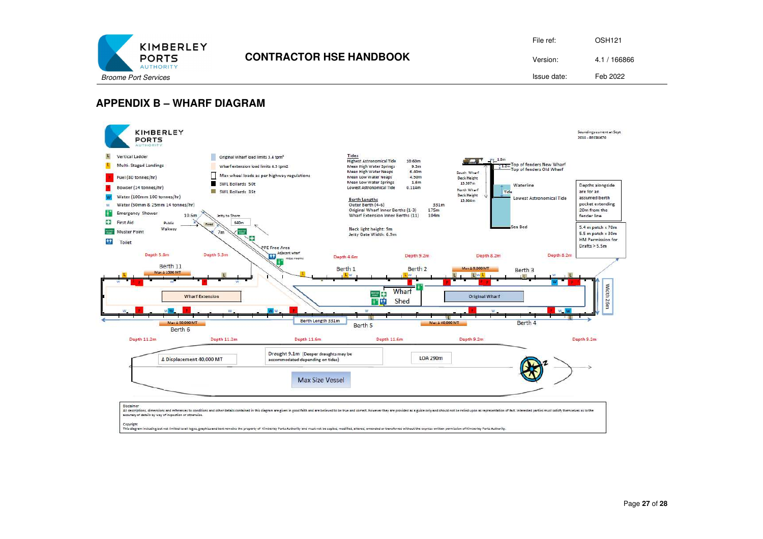

| File ref:   | OSH <sub>121</sub> |
|-------------|--------------------|
| Version:    | 4.1 / 166866       |
| Issue date: | Feb 2022           |

#### **APPENDIX B – WHARF DIAGRAM**



.<br>Copyright<br>This discrem including out not limited to all logos, graphics and text remains the property of Kimberiev Ports Authority and must not be copied, modified, altered, amended or transferred without the express wri